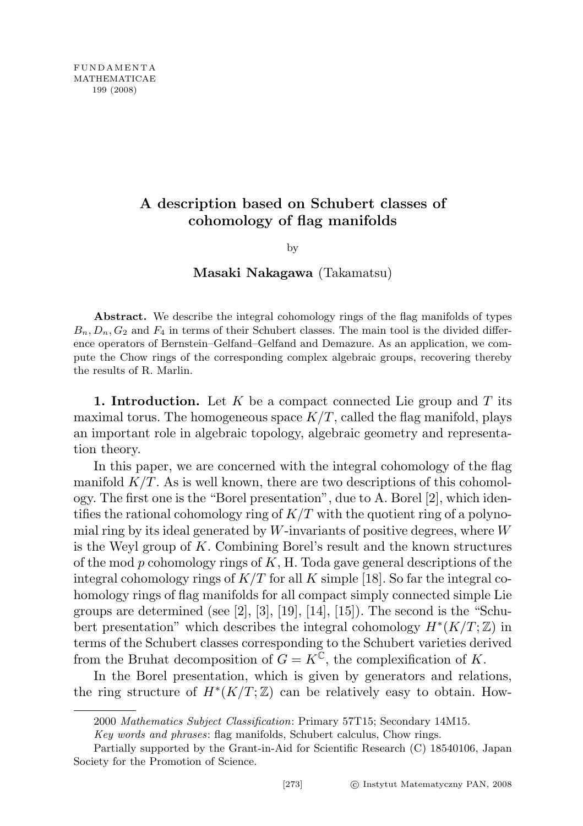## A description based on Schubert classes of cohomology of flag manifolds

by

## Masaki Nakagawa (Takamatsu)

Abstract. We describe the integral cohomology rings of the flag manifolds of types  $B_n, D_n, G_2$  and  $F_4$  in terms of their Schubert classes. The main tool is the divided difference operators of Bernstein–Gelfand–Gelfand and Demazure. As an application, we compute the Chow rings of the corresponding complex algebraic groups, recovering thereby the results of R. Marlin.

1. Introduction. Let K be a compact connected Lie group and T its maximal torus. The homogeneous space  $K/T$ , called the flag manifold, plays an important role in algebraic topology, algebraic geometry and representation theory.

In this paper, we are concerned with the integral cohomology of the flag manifold  $K/T$ . As is well known, there are two descriptions of this cohomology. The first one is the "Borel presentation", due to A. Borel [2], which identifies the rational cohomology ring of  $K/T$  with the quotient ring of a polynomial ring by its ideal generated by W-invariants of positive degrees, where  $W$ is the Weyl group of  $K$ . Combining Borel's result and the known structures of the mod  $p$  cohomology rings of  $K$ , H. Toda gave general descriptions of the integral cohomology rings of  $K/T$  for all K simple [18]. So far the integral cohomology rings of flag manifolds for all compact simply connected simple Lie groups are determined (see [2], [3], [19], [14], [15]). The second is the "Schubert presentation" which describes the integral cohomology  $H^*(K/T;\mathbb{Z})$  in terms of the Schubert classes corresponding to the Schubert varieties derived from the Bruhat decomposition of  $G = K^{\mathbb{C}}$ , the complexification of K.

In the Borel presentation, which is given by generators and relations, the ring structure of  $H^*(K/T;\mathbb{Z})$  can be relatively easy to obtain. How-

<sup>2000</sup> Mathematics Subject Classification: Primary 57T15; Secondary 14M15.

Key words and phrases: flag manifolds, Schubert calculus, Chow rings.

Partially supported by the Grant-in-Aid for Scientific Research (C) 18540106, Japan Society for the Promotion of Science.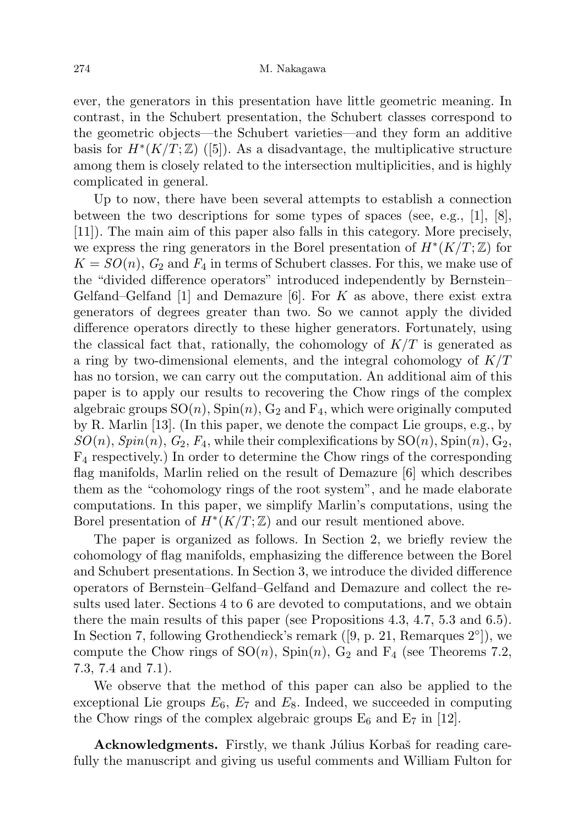ever, the generators in this presentation have little geometric meaning. In contrast, in the Schubert presentation, the Schubert classes correspond to the geometric objects—the Schubert varieties—and they form an additive basis for  $H^*(K/T;\mathbb{Z})$  ([5]). As a disadvantage, the multiplicative structure among them is closely related to the intersection multiplicities, and is highly complicated in general.

Up to now, there have been several attempts to establish a connection between the two descriptions for some types of spaces (see, e.g., [1], [8], [11]). The main aim of this paper also falls in this category. More precisely, we express the ring generators in the Borel presentation of  $H^*(K/T;\mathbb{Z})$  for  $K = SO(n)$ ,  $G_2$  and  $F_4$  in terms of Schubert classes. For this, we make use of the "divided difference operators" introduced independently by Bernstein– Gelfand–Gelfand  $[1]$  and Demazure  $[6]$ . For K as above, there exist extra generators of degrees greater than two. So we cannot apply the divided difference operators directly to these higher generators. Fortunately, using the classical fact that, rationally, the cohomology of  $K/T$  is generated as a ring by two-dimensional elements, and the integral cohomology of  $K/T$ has no torsion, we can carry out the computation. An additional aim of this paper is to apply our results to recovering the Chow rings of the complex algebraic groups  $SO(n)$ ,  $Spin(n)$ ,  $G_2$  and  $F_4$ , which were originally computed by R. Marlin [13]. (In this paper, we denote the compact Lie groups, e.g., by  $SO(n)$ ,  $Spin(n)$ ,  $G_2$ ,  $F_4$ , while their complexifications by  $SO(n)$ ,  $Spin(n)$ ,  $G_2$ ,  $F_4$  respectively.) In order to determine the Chow rings of the corresponding flag manifolds, Marlin relied on the result of Demazure [6] which describes them as the "cohomology rings of the root system", and he made elaborate computations. In this paper, we simplify Marlin's computations, using the Borel presentation of  $H^*(K/T;\mathbb{Z})$  and our result mentioned above.

The paper is organized as follows. In Section 2, we briefly review the cohomology of flag manifolds, emphasizing the difference between the Borel and Schubert presentations. In Section 3, we introduce the divided difference operators of Bernstein–Gelfand–Gelfand and Demazure and collect the results used later. Sections 4 to 6 are devoted to computations, and we obtain there the main results of this paper (see Propositions 4.3, 4.7, 5.3 and 6.5). In Section 7, following Grothendieck's remark  $([9, p. 21,$  Remarques  $2°]$ , we compute the Chow rings of  $SO(n)$ ,  $Spin(n)$ ,  $G_2$  and  $F_4$  (see Theorems 7.2, 7.3, 7.4 and 7.1).

We observe that the method of this paper can also be applied to the exceptional Lie groups  $E_6$ ,  $E_7$  and  $E_8$ . Indeed, we succeeded in computing the Chow rings of the complex algebraic groups  $E_6$  and  $E_7$  in [12].

Acknowledgments. Firstly, we thank Július Korbaš for reading carefully the manuscript and giving us useful comments and William Fulton for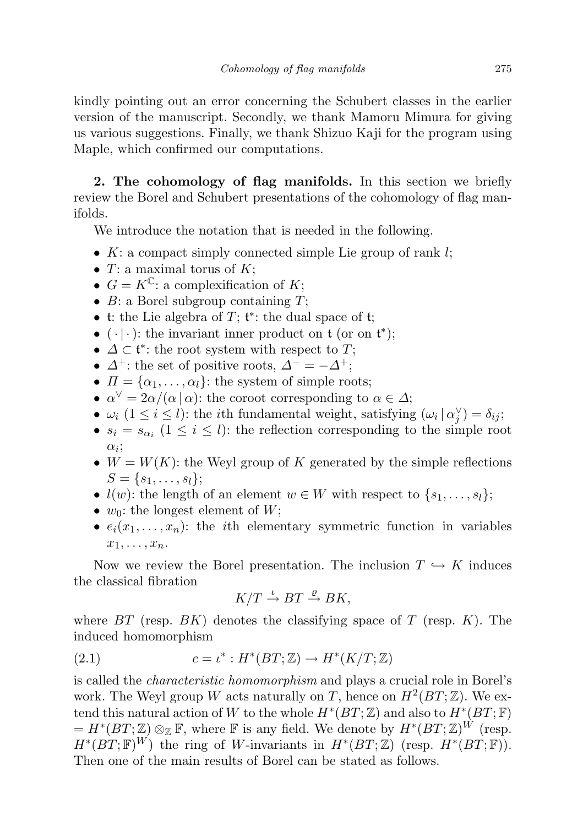kindly pointing out an error concerning the Schubert classes in the earlier version of the manuscript. Secondly, we thank Mamoru Mimura for giving us various suggestions. Finally, we thank Shizuo Kaji for the program using Maple, which confirmed our computations.

2. The cohomology of flag manifolds. In this section we briefly review the Borel and Schubert presentations of the cohomology of flag manifolds.

We introduce the notation that is needed in the following.

- $K:$  a compact simply connected simple Lie group of rank  $l$ ;
- $T: a maximal torus of K$ ;
- $G = K^{\mathbb{C}}$ : a complexification of K;
- $B:$  a Borel subgroup containing  $T$ ;
- t: the Lie algebra of  $T$ ;  $t^*$ : the dual space of t;
- $(\cdot | \cdot)$ : the invariant inner product on  $\mathfrak{t}$  (or on  $\mathfrak{t}^*$ );
- $\Delta \subset \mathfrak{t}^*$ : the root system with respect to T;
- $\Delta^+$ : the set of positive roots,  $\Delta^- = -\Delta^+$ ;
- $\Pi = {\alpha_1, \ldots, \alpha_l}$ : the system of simple roots;
- $\alpha^{\vee} = 2\alpha/(\alpha \,|\, \alpha)$ : the coroot corresponding to  $\alpha \in \Delta$ ;
- $\omega_i$   $(1 \leq i \leq l)$ : the *i*th fundamental weight, satisfying  $(\omega_i | \alpha_j^{\vee}) = \delta_{ij}$ ;
- $s_i = s_{\alpha_i}$   $(1 \leq i \leq l)$ : the reflection corresponding to the simple root  $\alpha_i$ ;
- $W = W(K)$ : the Weyl group of K generated by the simple reflections  $S = \{s_1, \ldots, s_l\};$
- $l(w)$ : the length of an element  $w \in W$  with respect to  $\{s_1, \ldots, s_l\}$ ;
- $w_0$ : the longest element of W;
- $e_i(x_1, \ldots, x_n)$ : the *i*th elementary symmetric function in variables  $x_1, \ldots, x_n$ .

Now we review the Borel presentation. The inclusion  $T \hookrightarrow K$  induces the classical fibration

$$
K/T \stackrel{\iota}{\rightarrow} BT \stackrel{\varrho}{\rightarrow} BK,
$$

where  $BT$  (resp.  $BK$ ) denotes the classifying space of T (resp. K). The induced homomorphism

(2.1) 
$$
c = \iota^* : H^*(BT; \mathbb{Z}) \to H^*(K/T; \mathbb{Z})
$$

is called the characteristic homomorphism and plays a crucial role in Borel's work. The Weyl group W acts naturally on T, hence on  $H^2(BT;\mathbb{Z})$ . We extend this natural action of W to the whole  $H^*(BT;\mathbb{Z})$  and also to  $H^*(BT;\mathbb{F})$  $= H^*(BT;\mathbb{Z}) \otimes_{\mathbb{Z}} \mathbb{F}$ , where  $\mathbb F$  is any field. We denote by  $H^*(BT;\mathbb{Z})^W$  (resp.  $H^*(BT;\mathbb{F})^W$  the ring of W-invariants in  $H^*(BT;\mathbb{Z})$  (resp.  $H^*(BT;\mathbb{F})$ ). Then one of the main results of Borel can be stated as follows.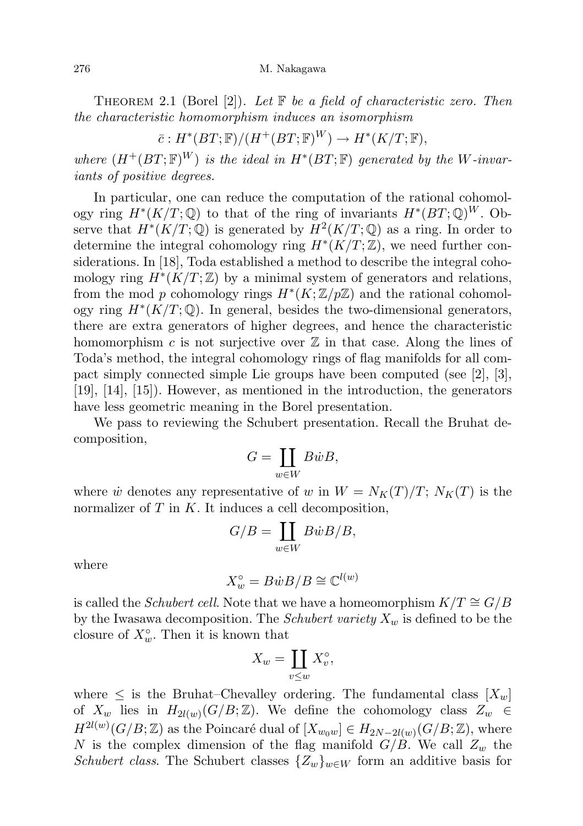## 276 M. Nakagawa

THEOREM 2.1 (Borel [2]). Let  $\mathbb F$  be a field of characteristic zero. Then the characteristic homomorphism induces an isomorphism

$$
\bar{c}: H^*(BT;\mathbb{F})/(H^+(BT;\mathbb{F})^W) \to H^*(K/T;\mathbb{F}),
$$

where  $(H^+(BT;\mathbb{F})^W)$  is the ideal in  $H^*(BT;\mathbb{F})$  generated by the W-invariants of positive degrees.

In particular, one can reduce the computation of the rational cohomology ring  $H^*(K/T;\mathbb{Q})$  to that of the ring of invariants  $H^*(BT;\mathbb{Q})^W$ . Observe that  $H^*(K/T;\mathbb{Q})$  is generated by  $H^2(K/T;\mathbb{Q})$  as a ring. In order to determine the integral cohomology ring  $H^*(K/T;\mathbb{Z})$ , we need further considerations. In [18], Toda established a method to describe the integral cohomology ring  $H^*(K/T;\mathbb{Z})$  by a minimal system of generators and relations, from the mod p cohomology rings  $H^*(K;\mathbb{Z}/p\mathbb{Z})$  and the rational cohomology ring  $H^*(K/T;\mathbb{Q})$ . In general, besides the two-dimensional generators, there are extra generators of higher degrees, and hence the characteristic homomorphism c is not surjective over  $\mathbb Z$  in that case. Along the lines of Toda's method, the integral cohomology rings of flag manifolds for all compact simply connected simple Lie groups have been computed (see [2], [3], [19], [14], [15]). However, as mentioned in the introduction, the generators have less geometric meaning in the Borel presentation.

We pass to reviewing the Schubert presentation. Recall the Bruhat decomposition,

$$
G = \coprod_{w \in W} B\dot{w}B,
$$

where  $\dot{w}$  denotes any representative of w in  $W = N_K(T)/T$ ;  $N_K(T)$  is the normalizer of  $T$  in  $K$ . It induces a cell decomposition,

$$
G/B = \coprod_{w \in W} B\dot{w}B/B,
$$

where

$$
X_w^\circ = B\dot{w}B/B \cong \mathbb{C}^{l(w)}
$$

is called the *Schubert cell*. Note that we have a homeomorphism  $K/T \cong G/B$ by the Iwasawa decomposition. The *Schubert variety*  $X_w$  is defined to be the closure of  $X^{\circ}_{w}$ . Then it is known that

$$
X_w = \coprod_{v \le w} X_v^\circ,
$$

where  $\leq$  is the Bruhat–Chevalley ordering. The fundamental class  $[X_w]$ of  $X_w$  lies in  $H_{2l(w)}(G/B;\mathbb{Z})$ . We define the cohomology class  $Z_w \in$  $H^{2l(w)}(G/B;\mathbb{Z})$  as the Poincaré dual of  $[X_{w_0w}] \in H_{2N-2l(w)}(G/B;\mathbb{Z})$ , where N is the complex dimension of the flag manifold  $G/B$ . We call  $Z_w$  the Schubert class. The Schubert classes  $\{Z_w\}_{w\in W}$  form an additive basis for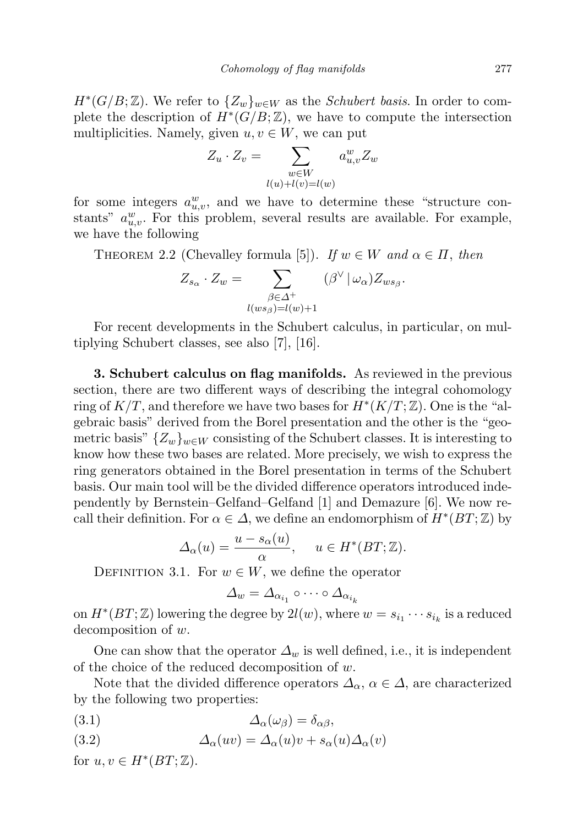$H^*(G/B;\mathbb{Z})$ . We refer to  $\{Z_w\}_{w\in W}$  as the *Schubert basis*. In order to complete the description of  $H^*(G/B;\mathbb{Z})$ , we have to compute the intersection multiplicities. Namely, given  $u, v \in W$ , we can put

$$
Z_u \cdot Z_v = \sum_{\substack{w \in W \\ l(u) + l(v) = l(w)}} a_{u,v}^w Z_w
$$

for some integers  $a_{u,v}^w$ , and we have to determine these "structure constants"  $a_{u,v}^w$ . For this problem, several results are available. For example, we have the following

THEOREM 2.2 (Chevalley formula [5]). If  $w \in W$  and  $\alpha \in \Pi$ , then

$$
Z_{s_{\alpha}} \cdot Z_w = \sum_{\substack{\beta \in \Delta^+ \\ l(ws_\beta)=l(w)+1}} (\beta^\vee | \omega_\alpha) Z_{ws_\beta}.
$$

For recent developments in the Schubert calculus, in particular, on multiplying Schubert classes, see also [7], [16].

3. Schubert calculus on flag manifolds. As reviewed in the previous section, there are two different ways of describing the integral cohomology ring of  $K/T$ , and therefore we have two bases for  $H^*(K/T; \mathbb{Z})$ . One is the "algebraic basis" derived from the Borel presentation and the other is the "geometric basis"  $\{Z_w\}_{w\in W}$  consisting of the Schubert classes. It is interesting to know how these two bases are related. More precisely, we wish to express the ring generators obtained in the Borel presentation in terms of the Schubert basis. Our main tool will be the divided difference operators introduced independently by Bernstein–Gelfand–Gelfand [1] and Demazure [6]. We now recall their definition. For  $\alpha \in \Delta$ , we define an endomorphism of  $H^*(BT;\mathbb{Z})$  by

$$
\Delta_{\alpha}(u) = \frac{u - s_{\alpha}(u)}{\alpha}, \quad u \in H^*(BT; \mathbb{Z}).
$$

DEFINITION 3.1. For  $w \in W$ , we define the operator

$$
\varDelta_w=\varDelta_{\alpha_{i_1}}\circ\cdots\circ\varDelta_{\alpha_{i_k}}
$$

on  $H^*(BT; \mathbb{Z})$  lowering the degree by  $2l(w)$ , where  $w = s_{i_1} \cdots s_{i_k}$  is a reduced decomposition of w.

One can show that the operator  $\Delta_w$  is well defined, i.e., it is independent of the choice of the reduced decomposition of  $w$ .

Note that the divided difference operators  $\Delta_{\alpha}$ ,  $\alpha \in \Delta$ , are characterized by the following two properties:

(3.1) 
$$
\Delta_{\alpha}(\omega_{\beta}) = \delta_{\alpha\beta},
$$

(3.2) 
$$
\Delta_{\alpha}(uv) = \Delta_{\alpha}(u)v + s_{\alpha}(u)\Delta_{\alpha}(v)
$$

for  $u, v \in H^*(BT; \mathbb{Z})$ .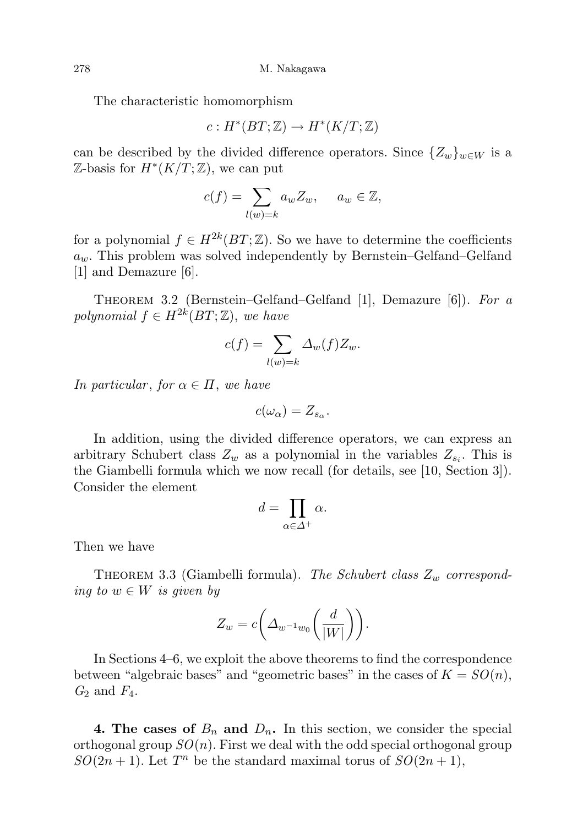The characteristic homomorphism

$$
c: H^*(BT; \mathbb{Z}) \to H^*(K/T; \mathbb{Z})
$$

can be described by the divided difference operators. Since  $\{Z_w\}_{w\in W}$  is a  $\mathbb{Z}\text{-basis for } H^*(K/T; \mathbb{Z})$ , we can put

$$
c(f) = \sum_{l(w)=k} a_w Z_w, \quad a_w \in \mathbb{Z},
$$

for a polynomial  $f \in H^{2k}(BT;\mathbb{Z})$ . So we have to determine the coefficients  $a_w$ . This problem was solved independently by Bernstein–Gelfand–Gelfand [1] and Demazure [6].

THEOREM 3.2 (Bernstein–Gelfand–Gelfand [1], Demazure [6]). For a polynomial  $f \in H^{2k}(BT;\mathbb{Z})$ , we have

$$
c(f) = \sum_{l(w)=k} \Delta_w(f) Z_w.
$$

In particular, for  $\alpha \in \Pi$ , we have

$$
c(\omega_{\alpha})=Z_{s_{\alpha}}.
$$

In addition, using the divided difference operators, we can express an arbitrary Schubert class  $Z_w$  as a polynomial in the variables  $Z_{s_i}$ . This is the Giambelli formula which we now recall (for details, see [10, Section 3]). Consider the element

$$
d = \prod_{\alpha \in \Delta^+} \alpha.
$$

Then we have

THEOREM 3.3 (Giambelli formula). The Schubert class  $Z_w$  corresponding to  $w \in W$  is given by

$$
Z_w = c\bigg(\Delta_{w^{-1}w_0}\bigg(\frac{d}{|W|}\bigg)\bigg).
$$

In Sections 4–6, we exploit the above theorems to find the correspondence between "algebraic bases" and "geometric bases" in the cases of  $K = SO(n)$ ,  $G_2$  and  $F_4$ .

4. The cases of  $B_n$  and  $D_n$ . In this section, we consider the special orthogonal group  $SO(n)$ . First we deal with the odd special orthogonal group  $SO(2n+1)$ . Let  $T^n$  be the standard maximal torus of  $SO(2n+1)$ ,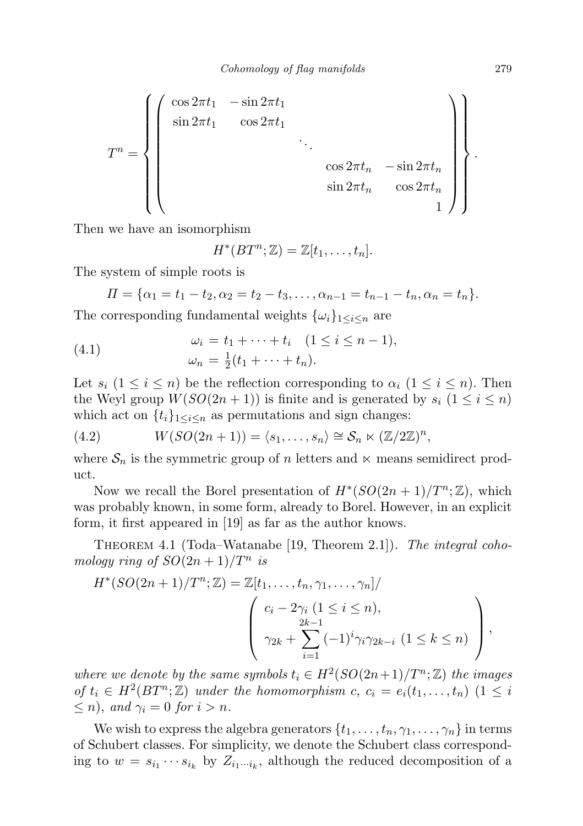$$
T^{n} = \left\{\left(\begin{array}{ccc} \cos 2\pi t_{1} & -\sin 2\pi t_{1} & & \\ \sin 2\pi t_{1} & \cos 2\pi t_{1} & & \\ & \ddots & & \\ & & \cos 2\pi t_{n} & -\sin 2\pi t_{n} \\ & & \sin 2\pi t_{n} & \cos 2\pi t_{n} \\ & & & 1 \end{array}\right)\right\}.
$$

Then we have an isomorphism

$$
H^*(BT^n;\mathbb{Z})=\mathbb{Z}[t_1,\ldots,t_n].
$$

The system of simple roots is

$$
\Pi = \{ \alpha_1 = t_1 - t_2, \alpha_2 = t_2 - t_3, \dots, \alpha_{n-1} = t_{n-1} - t_n, \alpha_n = t_n \}.
$$

The corresponding fundamental weights  $\{\omega_i\}_{1 \leq i \leq n}$  are

(4.1) 
$$
\omega_i = t_1 + \dots + t_i \quad (1 \le i \le n-1), \n\omega_n = \frac{1}{2}(t_1 + \dots + t_n).
$$

Let  $s_i$   $(1 \leq i \leq n)$  be the reflection corresponding to  $\alpha_i$   $(1 \leq i \leq n)$ . Then the Weyl group  $W(SO(2n + 1))$  is finite and is generated by  $s_i$   $(1 \leq i \leq n)$ which act on  $\{t_i\}_{1\leq i\leq n}$  as permutations and sign changes:

(4.2) 
$$
W(SO(2n+1)) = \langle s_1, \ldots, s_n \rangle \cong \mathcal{S}_n \ltimes (\mathbb{Z}/2\mathbb{Z})^n,
$$

where  $S_n$  is the symmetric group of n letters and  $\ltimes$  means semidirect product.

Now we recall the Borel presentation of  $H^*(SO(2n+1)/T^n;\mathbb{Z})$ , which was probably known, in some form, already to Borel. However, in an explicit form, it first appeared in [19] as far as the author knows.

Theorem 4.1 (Toda–Watanabe [19, Theorem 2.1]). The integral cohomology ring of  $SO(2n+1)/T^n$  is

$$
H^*(SO(2n+1)/T^n; \mathbb{Z}) = \mathbb{Z}[t_1, \dots, t_n, \gamma_1, \dots, \gamma_n]/
$$
  

$$
\begin{pmatrix} c_i - 2\gamma_i (1 \le i \le n), \\ 2k-1 \\ \gamma_{2k} + \sum_{i=1}^{2k-1} (-1)^i \gamma_i \gamma_{2k-i} (1 \le k \le n) \end{pmatrix},
$$

where we denote by the same symbols  $t_i \in H^2(SO(2n+1)/T^n;\mathbb{Z})$  the images of  $t_i \in H^2(BT^n;\mathbb{Z})$  under the homomorphism  $c, c_i = e_i(t_1, \ldots, t_n)$   $(1 \leq i$  $\leq n$ , and  $\gamma_i = 0$  for  $i > n$ .

We wish to express the algebra generators  $\{t_1, \ldots, t_n, \gamma_1, \ldots, \gamma_n\}$  in terms of Schubert classes. For simplicity, we denote the Schubert class corresponding to  $w = s_{i_1} \cdots s_{i_k}$  by  $Z_{i_1 \cdots i_k}$ , although the reduced decomposition of a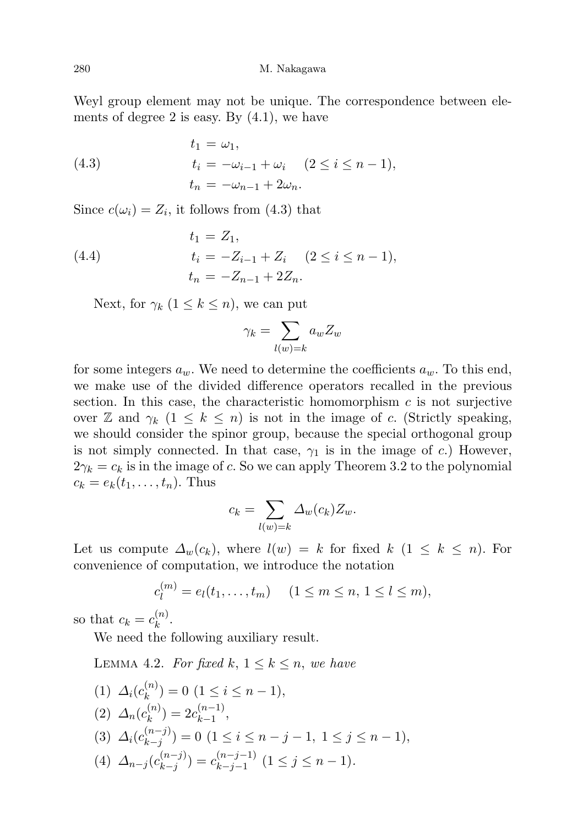Weyl group element may not be unique. The correspondence between elements of degree 2 is easy. By  $(4.1)$ , we have

(4.3) 
$$
t_1 = \omega_1, \n t_i = -\omega_{i-1} + \omega_i \quad (2 \le i \le n-1), \n t_n = -\omega_{n-1} + 2\omega_n.
$$

Since  $c(\omega_i) = Z_i$ , it follows from (4.3) that

(4.4) 
$$
t_1 = Z_1,
$$

$$
t_i = -Z_{i-1} + Z_i \quad (2 \le i \le n-1),
$$

$$
t_n = -Z_{n-1} + 2Z_n.
$$

Next, for  $\gamma_k$   $(1 \leq k \leq n)$ , we can put

$$
\gamma_k = \sum_{l(w)=k} a_w Z_w
$$

for some integers  $a_w$ . We need to determine the coefficients  $a_w$ . To this end, we make use of the divided difference operators recalled in the previous section. In this case, the characteristic homomorphism  $c$  is not surjective over Z and  $\gamma_k$  ( $1 \leq k \leq n$ ) is not in the image of c. (Strictly speaking, we should consider the spinor group, because the special orthogonal group is not simply connected. In that case,  $\gamma_1$  is in the image of c.) However,  $2\gamma_k = c_k$  is in the image of c. So we can apply Theorem 3.2 to the polynomial  $c_k = e_k(t_1, \ldots, t_n)$ . Thus

$$
c_k = \sum_{l(w)=k} \Delta_w(c_k) Z_w.
$$

Let us compute  $\Delta_w(c_k)$ , where  $l(w) = k$  for fixed  $k$   $(1 \leq k \leq n)$ . For convenience of computation, we introduce the notation

$$
c_l^{(m)} = e_l(t_1, \dots, t_m) \quad (1 \le m \le n, \ 1 \le l \le m),
$$

so that  $c_k = c_k^{(n)}$  $\frac{1}{k}$ 

We need the following auxiliary result.

LEMMA 4.2. For fixed k,  $1 \leq k \leq n$ , we have

(1) 
$$
\Delta_i(c_k^{(n)}) = 0
$$
  $(1 \le i \le n - 1)$ ,  
\n(2)  $\Delta_n(c_k^{(n)}) = 2c_{k-1}^{(n-1)}$ ,  
\n(3)  $\Delta_i(c_{k-j}^{(n-j)}) = 0$   $(1 \le i \le n - j - 1, 1 \le j \le n - 1)$ ,  
\n(4)  $\Delta_{n-j}(c_{k-j}^{(n-j)}) = c_{k-j-1}^{(n-j-1)}$   $(1 \le j \le n - 1)$ .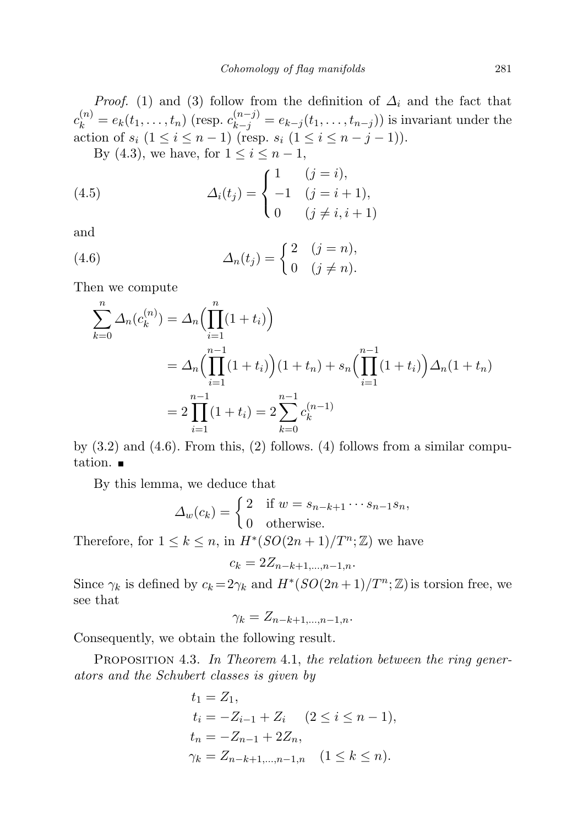*Proof.* (1) and (3) follow from the definition of  $\Delta_i$  and the fact that  $c_k^{(n)} = e_k(t_1, \ldots, t_n)$  (resp.  $c_{k-j}^{(n-j)} = e_{k-j}(t_1, \ldots, t_{n-j})$ ) is invariant under the action of  $s_i$   $(1 \le i \le n-1)$  (resp.  $s_i$   $(1 \le i \le n-j-1)$ ). By (4.3), we have, for  $1 \leq i \leq n-1$ ,

(4.5) 
$$
\Delta_i(t_j) = \begin{cases} 1 & (j = i), \\ -1 & (j = i + 1), \\ 0 & (j \neq i, i + 1) \end{cases}
$$

and

(4.6) 
$$
\Delta_n(t_j) = \begin{cases} 2 & (j = n), \\ 0 & (j \neq n). \end{cases}
$$

Then we compute

$$
\sum_{k=0}^{n} \Delta_n(c_k^{(n)}) = \Delta_n\Big(\prod_{i=1}^{n} (1+t_i)\Big)
$$
  
=  $\Delta_n\Big(\prod_{i=1}^{n-1} (1+t_i)\Big)(1+t_n) + s_n\Big(\prod_{i=1}^{n-1} (1+t_i)\Big)\Delta_n(1+t_n)$   
=  $2\prod_{i=1}^{n-1} (1+t_i) = 2\sum_{k=0}^{n-1} c_k^{(n-1)}$ 

by  $(3.2)$  and  $(4.6)$ . From this,  $(2)$  follows.  $(4)$  follows from a similar computation.

By this lemma, we deduce that

$$
\Delta_w(c_k) = \begin{cases} 2 & \text{if } w = s_{n-k+1} \cdots s_{n-1} s_n, \\ 0 & \text{otherwise.} \end{cases}
$$

Therefore, for  $1 \leq k \leq n$ , in  $H^*(SO(2n+1)/T^n;\mathbb{Z})$  we have

$$
c_k = 2Z_{n-k+1,...,n-1,n}.
$$

Since  $\gamma_k$  is defined by  $c_k = 2\gamma_k$  and  $H^*(SO(2n+1)/T^n;\mathbb{Z})$  is torsion free, we see that

$$
\gamma_k = Z_{n-k+1,\dots,n-1,n}.
$$

Consequently, we obtain the following result.

PROPOSITION 4.3. In Theorem 4.1, the relation between the ring generators and the Schubert classes is given by

$$
t_1 = Z_1,
$$
  
\n
$$
t_i = -Z_{i-1} + Z_i \quad (2 \le i \le n-1),
$$
  
\n
$$
t_n = -Z_{n-1} + 2Z_n,
$$
  
\n
$$
\gamma_k = Z_{n-k+1,\dots,n-1,n} \quad (1 \le k \le n).
$$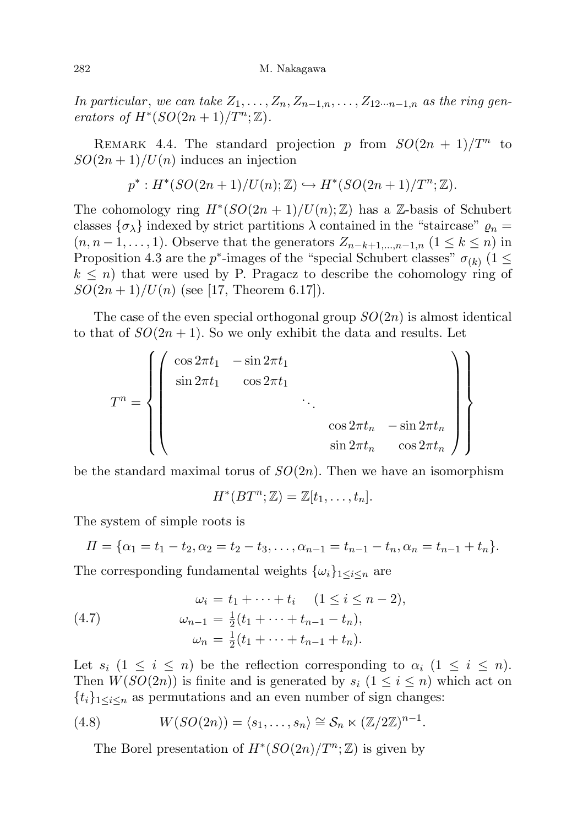In particular, we can take  $Z_1, \ldots, Z_n, Z_{n-1,n}, \ldots, Z_{12\cdots n-1,n}$  as the ring generators of  $H^*(SO(2n+1)/T^n;\mathbb{Z})$ .

REMARK 4.4. The standard projection p from  $SO(2n + 1)/T^n$  to  $SO(2n+1)/U(n)$  induces an injection

$$
p^*: H^*(SO(2n+1)/U(n); \mathbb{Z}) \hookrightarrow H^*(SO(2n+1)/T^n; \mathbb{Z}).
$$

The cohomology ring  $H^*(SO(2n+1)/U(n); \mathbb{Z})$  has a  $\mathbb{Z}$ -basis of Schubert classes  $\{\sigma_{\lambda}\}\$  indexed by strict partitions  $\lambda$  contained in the "staircase"  $\rho_n =$  $(n, n-1, \ldots, 1)$ . Observe that the generators  $Z_{n-k+1,\ldots,n-1,n}$   $(1 \leq k \leq n)$  in Proposition 4.3 are the  $p^*$ -images of the "special Schubert classes"  $\sigma_{(k)}$  (1  $\leq$  $k \leq n$ ) that were used by P. Pragacz to describe the cohomology ring of  $SO(2n+1)/U(n)$  (see [17, Theorem 6.17]).

The case of the even special orthogonal group  $SO(2n)$  is almost identical to that of  $SO(2n+1)$ . So we only exhibit the data and results. Let

$$
T^{n} = \left\{ \left( \begin{array}{ccc} \cos 2\pi t_{1} & -\sin 2\pi t_{1} & & & \\ \sin 2\pi t_{1} & \cos 2\pi t_{1} & & \\ & \ddots & & \\ & & \cos 2\pi t_{n} & -\sin 2\pi t_{n} \\ & & & \sin 2\pi t_{n} & \cos 2\pi t_{n} \end{array} \right) \right\}
$$

be the standard maximal torus of  $SO(2n)$ . Then we have an isomorphism

$$
H^*(BT^n;\mathbb{Z})=\mathbb{Z}[t_1,\ldots,t_n].
$$

The system of simple roots is

$$
\Pi = \{ \alpha_1 = t_1 - t_2, \alpha_2 = t_2 - t_3, \dots, \alpha_{n-1} = t_{n-1} - t_n, \alpha_n = t_{n-1} + t_n \}.
$$

The corresponding fundamental weights  $\{\omega_i\}_{1 \leq i \leq n}$  are

(4.7) 
$$
\omega_i = t_1 + \dots + t_i \quad (1 \le i \le n-2),
$$

$$
\omega_{n-1} = \frac{1}{2}(t_1 + \dots + t_{n-1} - t_n),
$$

$$
\omega_n = \frac{1}{2}(t_1 + \dots + t_{n-1} + t_n).
$$

Let  $s_i$   $(1 \leq i \leq n)$  be the reflection corresponding to  $\alpha_i$   $(1 \leq i \leq n)$ . Then  $W(SO(2n))$  is finite and is generated by  $s_i$   $(1 \leq i \leq n)$  which act on  $\{t_i\}_{1\leq i\leq n}$  as permutations and an even number of sign changes:

(4.8) 
$$
W(SO(2n)) = \langle s_1, \ldots, s_n \rangle \cong S_n \ltimes (\mathbb{Z}/2\mathbb{Z})^{n-1}.
$$

The Borel presentation of  $H^*(SO(2n)/T^n;\mathbb{Z})$  is given by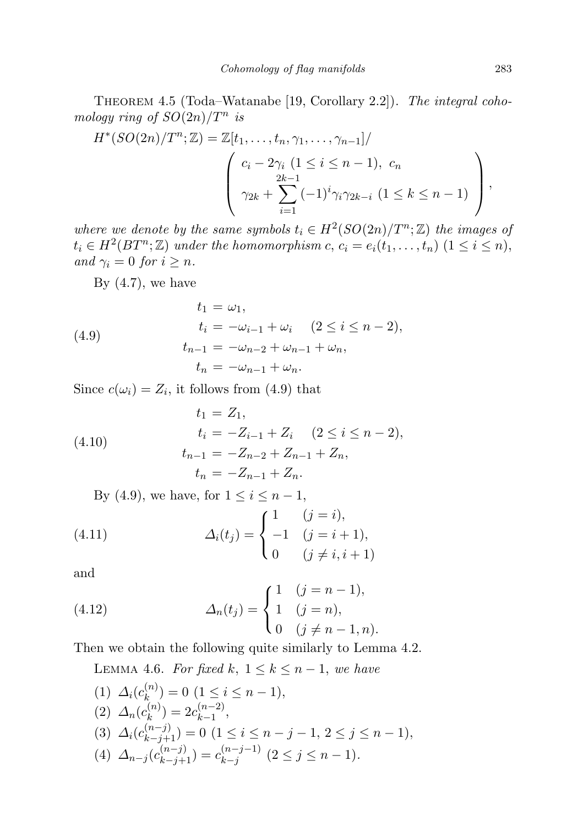Theorem 4.5 (Toda–Watanabe [19, Corollary 2.2]). The integral cohomology ring of  $SO(2n)/T^n$  is

$$
H^*(SO(2n)/T^n; \mathbb{Z}) = \mathbb{Z}[t_1, \dots, t_n, \gamma_1, \dots, \gamma_{n-1}]/
$$
  

$$
\begin{pmatrix} c_i - 2\gamma_i \ (1 \leq i \leq n-1), \ c_n \\ 2k-1 \\ \gamma_{2k} + \sum_{i=1}^{2k-1} (-1)^i \gamma_i \gamma_{2k-i} \ (1 \leq k \leq n-1) \end{pmatrix},
$$

where we denote by the same symbols  $t_i \in H^2(SO(2n)/T^n;\mathbb{Z})$  the images of  $t_i \in H^2(BT^n;\mathbb{Z})$  under the homomorphism  $c, c_i = e_i(t_1,\ldots,t_n)$   $(1 \leq i \leq n)$ , and  $\gamma_i = 0$  for  $i \geq n$ .

By  $(4.7)$ , we have

(4.9) 
$$
t_1 = \omega_1,
$$

$$
t_i = -\omega_{i-1} + \omega_i \quad (2 \le i \le n-2),
$$

$$
t_{n-1} = -\omega_{n-2} + \omega_{n-1} + \omega_n,
$$

$$
t_n = -\omega_{n-1} + \omega_n.
$$

Since  $c(\omega_i) = Z_i$ , it follows from (4.9) that

(4.10) 
$$
t_1 = Z_1,
$$

$$
t_i = -Z_{i-1} + Z_i \quad (2 \le i \le n-2),
$$

$$
t_{n-1} = -Z_{n-2} + Z_{n-1} + Z_n,
$$

$$
t_n = -Z_{n-1} + Z_n.
$$

By (4.9), we have, for  $1 \leq i \leq n-1$ ,

(4.11) 
$$
\Delta_i(t_j) = \begin{cases} 1 & (j = i), \\ -1 & (j = i + 1), \\ 0 & (j \neq i, i + 1) \end{cases}
$$

and

(4.12) 
$$
\Delta_n(t_j) = \begin{cases} 1 & (j = n - 1), \\ 1 & (j = n), \\ 0 & (j \neq n - 1, n). \end{cases}
$$

Then we obtain the following quite similarly to Lemma 4.2.

LEMMA 4.6. For fixed k, 
$$
1 \le k \le n - 1
$$
, we have  
\n(1)  $\Delta_i(c_k^{(n)}) = 0$   $(1 \le i \le n - 1)$ ,  
\n(2)  $\Delta_n(c_k^{(n)}) = 2c_{k-1}^{(n-2)}$ ,  
\n(3)  $\Delta_i(c_{k-j+1}^{(n-j)}) = 0$   $(1 \le i \le n - j - 1, 2 \le j \le n - 1)$ ,  
\n(4)  $\Delta_{n-j}(c_{k-j+1}^{(n-j)}) = c_{k-j}^{(n-j-1)}$   $(2 \le j \le n - 1)$ .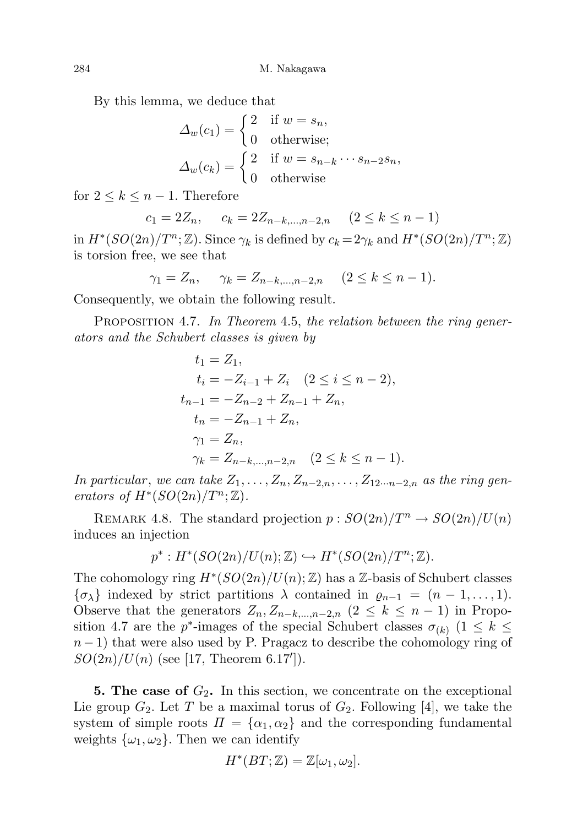By this lemma, we deduce that

$$
\Delta_w(c_1) = \begin{cases}\n2 & \text{if } w = s_n, \\
0 & \text{otherwise};\n\end{cases}
$$
\n
$$
\Delta_w(c_k) = \begin{cases}\n2 & \text{if } w = s_{n-k} \cdots s_{n-2} s_n, \\
0 & \text{otherwise}\n\end{cases}
$$

for  $2 \leq k \leq n-1$ . Therefore

$$
c_1 = 2Z_n, \quad c_k = 2Z_{n-k,\dots,n-2,n} \quad (2 \le k \le n-1)
$$

in  $H^*(SO(2n)/T^n;\mathbb{Z})$ . Since  $\gamma_k$  is defined by  $c_k = 2\gamma_k$  and  $H^*(SO(2n)/T^n;\mathbb{Z})$ is torsion free, we see that

$$
\gamma_1 = Z_n, \quad \gamma_k = Z_{n-k,\dots,n-2,n} \quad (2 \le k \le n-1).
$$

Consequently, we obtain the following result.

PROPOSITION 4.7. In Theorem 4.5, the relation between the ring generators and the Schubert classes is given by

$$
t_1 = Z_1,
$$
  
\n
$$
t_i = -Z_{i-1} + Z_i \quad (2 \le i \le n-2),
$$
  
\n
$$
t_{n-1} = -Z_{n-2} + Z_{n-1} + Z_n,
$$
  
\n
$$
t_n = -Z_{n-1} + Z_n,
$$
  
\n
$$
\gamma_1 = Z_n,
$$
  
\n
$$
\gamma_k = Z_{n-k,...,n-2,n} \quad (2 \le k \le n-1).
$$

In particular, we can take  $Z_1, \ldots, Z_n, Z_{n-2,n}, \ldots, Z_{12\cdots n-2,n}$  as the ring generators of  $H^*(SO(2n)/T^n;\mathbb{Z})$ .

REMARK 4.8. The standard projection  $p : SO(2n)/T^n \to SO(2n)/U(n)$ induces an injection

$$
p^*: H^*(SO(2n)/U(n);\mathbb{Z}) \hookrightarrow H^*(SO(2n)/T^n;\mathbb{Z}).
$$

The cohomology ring  $H^*(SO(2n)/U(n);\mathbb{Z})$  has a  $\mathbb{Z}$ -basis of Schubert classes  $\{\sigma_{\lambda}\}\$  indexed by strict partitions  $\lambda$  contained in  $\varrho_{n-1} = (n-1,\ldots,1).$ Observe that the generators  $Z_n, Z_{n-k,\dots,n-2,n}$   $(2 \leq k \leq n-1)$  in Proposition 4.7 are the  $p^*$ -images of the special Schubert classes  $\sigma_{(k)}$  (1  $\leq$  k  $\leq$  $n-1$ ) that were also used by P. Pragacz to describe the cohomology ring of  $SO(2n)/U(n)$  (see [17, Theorem 6.17']).

**5. The case of**  $G_2$ . In this section, we concentrate on the exceptional Lie group  $G_2$ . Let T be a maximal torus of  $G_2$ . Following [4], we take the system of simple roots  $\Pi = {\alpha_1, \alpha_2}$  and the corresponding fundamental weights  $\{\omega_1, \omega_2\}$ . Then we can identify

$$
H^*(BT;\mathbb{Z})=\mathbb{Z}[\omega_1,\omega_2].
$$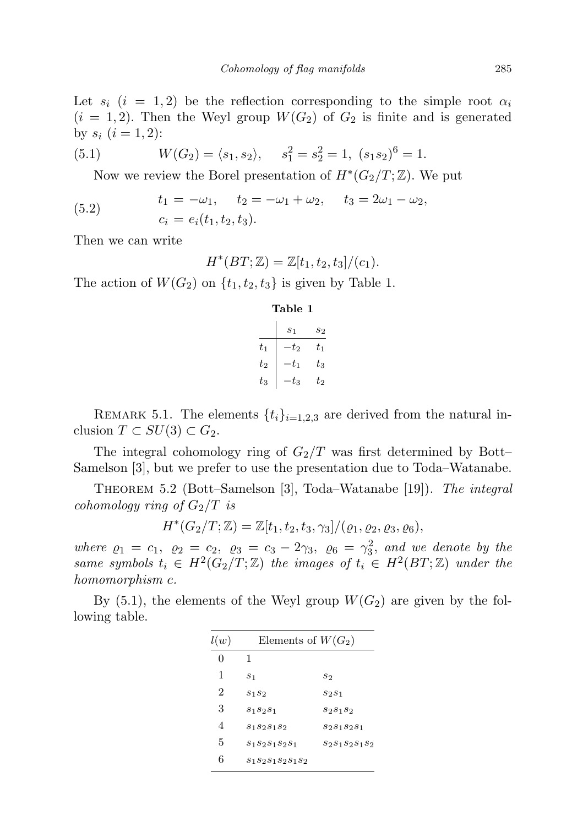Let  $s_i$   $(i = 1, 2)$  be the reflection corresponding to the simple root  $\alpha_i$  $(i = 1, 2)$ . Then the Weyl group  $W(G_2)$  of  $G_2$  is finite and is generated by  $s_i$   $(i = 1, 2)$ :

(5.1) 
$$
W(G_2) = \langle s_1, s_2 \rangle, \quad s_1^2 = s_2^2 = 1, \ (s_1 s_2)^6 = 1.
$$

Now we review the Borel presentation of  $H^*(G_2/T;\mathbb{Z})$ . We put

(5.2) 
$$
t_1 = -\omega_1, \quad t_2 = -\omega_1 + \omega_2, \quad t_3 = 2\omega_1 - \omega_2, c_i = e_i(t_1, t_2, t_3).
$$

Then we can write

$$
H^*(BT;\mathbb{Z})=\mathbb{Z}[t_1,t_2,t_3]/(c_1).
$$

The action of  $W(G_2)$  on  $\{t_1, t_2, t_3\}$  is given by Table 1.

Table 1

|         | s <sub>1</sub> | $s_2$   |
|---------|----------------|---------|
| $t_{1}$ | $t_2$          | $t_{1}$ |
| $t_2$   | $t_{1}$        | $t_3$   |
| $t_3$   | $t_{3}$        | $t_2$   |

REMARK 5.1. The elements  $\{t_i\}_{i=1,2,3}$  are derived from the natural inclusion  $T \subset SU(3) \subset G_2$ .

The integral cohomology ring of  $G_2/T$  was first determined by Bott– Samelson [3], but we prefer to use the presentation due to Toda–Watanabe.

Theorem 5.2 (Bott–Samelson [3], Toda–Watanabe [19]). The integral cohomology ring of  $G_2/T$  is

$$
H^*(G_2/T; \mathbb{Z}) = \mathbb{Z}[t_1, t_2, t_3, \gamma_3]/(\varrho_1, \varrho_2, \varrho_3, \varrho_6),
$$

where  $\rho_1 = c_1, \ \rho_2 = c_2, \ \rho_3 = c_3 - 2\gamma_3, \ \rho_6 = \gamma_3^2, \text{ and we denote by the}$ same symbols  $t_i \in H^2(G_2/T;\mathbb{Z})$  the images of  $t_i \in H^2(BT;\mathbb{Z})$  under the homomorphism c.

By  $(5.1)$ , the elements of the Weyl group  $W(G_2)$  are given by the following table.

| l(w) | Elements of $W(G_2)$ |                   |
|------|----------------------|-------------------|
| 0    | 1                    |                   |
| 1    | S <sub>1</sub>       | s <sub>2</sub>    |
| 2    | $s_1s_2$             | $S_2S_1$          |
| 3    | S1S2S1               | $S_2S_1S_2$       |
| 4    | $S_1S_2S_1S_2$       | $S_2S_1S_2S_1$    |
| 5    | S1S2S1S2S1           | $S_2S_1S_2S_1S_2$ |
| 6    | $S_1S_2S_1S_2S_1S_2$ |                   |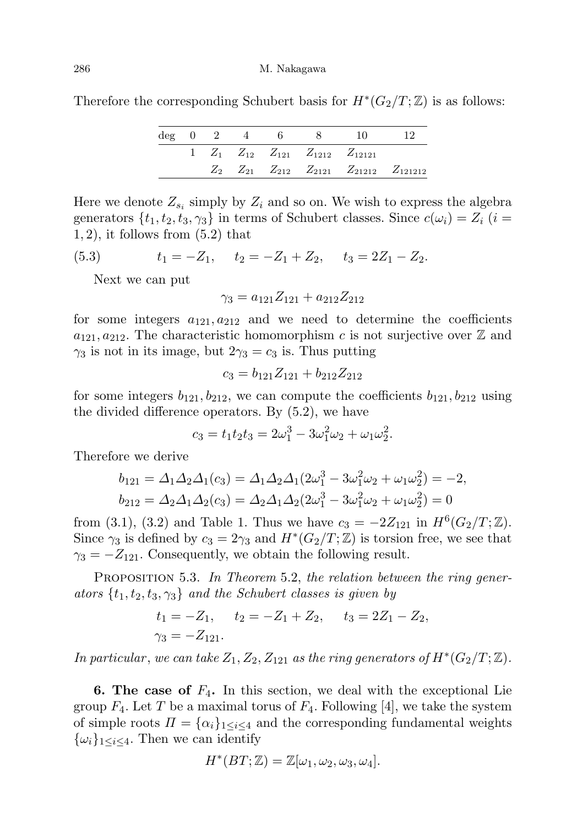Therefore the corresponding Schubert basis for  $H^*(G_2/T;\mathbb{Z})$  is as follows:

|  |  | $\deg$ 0 2 4 6 8                                  | $\sim$ 10                                                    |  |
|--|--|---------------------------------------------------|--------------------------------------------------------------|--|
|  |  | 1 $Z_1$ $Z_{12}$ $Z_{121}$ $Z_{1212}$ $Z_{12121}$ |                                                              |  |
|  |  |                                                   | $Z_2$ $Z_{21}$ $Z_{212}$ $Z_{2121}$ $Z_{21212}$ $Z_{121212}$ |  |

Here we denote  $Z_{s_i}$  simply by  $Z_i$  and so on. We wish to express the algebra generators  $\{t_1, t_2, t_3, \gamma_3\}$  in terms of Schubert classes. Since  $c(\omega_i) = Z_i$  (i =  $(1, 2)$ , it follows from  $(5.2)$  that

(5.3) 
$$
t_1 = -Z_1
$$
,  $t_2 = -Z_1 + Z_2$ ,  $t_3 = 2Z_1 - Z_2$ .

Next we can put

$$
\gamma_3 = a_{121}Z_{121} + a_{212}Z_{212}
$$

for some integers  $a_{121}, a_{212}$  and we need to determine the coefficients  $a_{121}, a_{212}$ . The characteristic homomorphism c is not surjective over  $\mathbb Z$  and  $\gamma_3$  is not in its image, but  $2\gamma_3 = c_3$  is. Thus putting

$$
c_3 = b_{121}Z_{121} + b_{212}Z_{212}
$$

for some integers  $b_{121}, b_{212}$ , we can compute the coefficients  $b_{121}, b_{212}$  using the divided difference operators. By (5.2), we have

$$
c_3 = t_1 t_2 t_3 = 2\omega_1^3 - 3\omega_1^2 \omega_2 + \omega_1 \omega_2^2.
$$

Therefore we derive

$$
b_{121} = \Delta_1 \Delta_2 \Delta_1(c_3) = \Delta_1 \Delta_2 \Delta_1 (2\omega_1^3 - 3\omega_1^2 \omega_2 + \omega_1 \omega_2^2) = -2,
$$
  
\n
$$
b_{212} = \Delta_2 \Delta_1 \Delta_2(c_3) = \Delta_2 \Delta_1 \Delta_2 (2\omega_1^3 - 3\omega_1^2 \omega_2 + \omega_1 \omega_2^2) = 0
$$

from (3.1), (3.2) and Table 1. Thus we have  $c_3 = -2Z_{121}$  in  $H^6(G_2/T; \mathbb{Z})$ . Since  $\gamma_3$  is defined by  $c_3 = 2\gamma_3$  and  $H^*(G_2/T;\mathbb{Z})$  is torsion free, we see that  $\gamma_3 = -Z_{121}$ . Consequently, we obtain the following result.

PROPOSITION 5.3. In Theorem 5.2, the relation between the ring generators  $\{t_1, t_2, t_3, \gamma_3\}$  and the Schubert classes is given by

$$
t_1 = -Z_1
$$
,  $t_2 = -Z_1 + Z_2$ ,  $t_3 = 2Z_1 - Z_2$ ,  
 $\gamma_3 = -Z_{121}$ .

In particular, we can take  $Z_1, Z_2, Z_{121}$  as the ring generators of  $H^*(G_2/T; \mathbb{Z})$ .

**6. The case of**  $F_4$ **.** In this section, we deal with the exceptional Lie group  $F_4$ . Let T be a maximal torus of  $F_4$ . Following [4], we take the system of simple roots  $\Pi = {\alpha_i}_{1 \leq i \leq 4}$  and the corresponding fundamental weights  $\{\omega_i\}_{1\leq i\leq 4}$ . Then we can identify

$$
H^*(BT; \mathbb{Z}) = \mathbb{Z}[\omega_1, \omega_2, \omega_3, \omega_4].
$$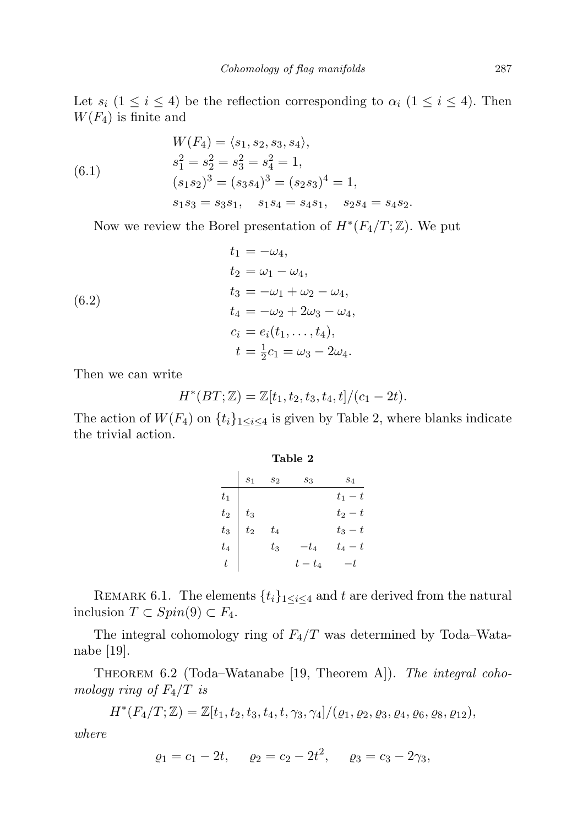Let  $s_i$   $(1 \leq i \leq 4)$  be the reflection corresponding to  $\alpha_i$   $(1 \leq i \leq 4)$ . Then  $W(F_4)$  is finite and

(6.1)  
\n
$$
W(F_4) = \langle s_1, s_2, s_3, s_4 \rangle,
$$
\n
$$
s_1^2 = s_2^2 = s_3^2 = s_4^2 = 1,
$$
\n
$$
(s_1 s_2)^3 = (s_3 s_4)^3 = (s_2 s_3)^4 = 1,
$$
\n
$$
s_1 s_3 = s_3 s_1, \quad s_1 s_4 = s_4 s_1, \quad s_2 s_4 = s_4 s_2.
$$

Now we review the Borel presentation of  $H^*(F_4/T; \mathbb{Z})$ . We put

(6.2)  
\n
$$
t_{1} = -\omega_{4},
$$
\n
$$
t_{2} = \omega_{1} - \omega_{4},
$$
\n
$$
t_{3} = -\omega_{1} + \omega_{2} - \omega_{4},
$$
\n
$$
t_{4} = -\omega_{2} + 2\omega_{3} - \omega_{4},
$$
\n
$$
c_{i} = e_{i}(t_{1},...,t_{4}),
$$
\n
$$
t = \frac{1}{2}c_{1} = \omega_{3} - 2\omega_{4}.
$$

Then we can write

$$
H^*(BT; \mathbb{Z}) = \mathbb{Z}[t_1, t_2, t_3, t_4, t]/(c_1 - 2t).
$$

The action of  $W(F_4)$  on  $\{t_i\}_{1\leq i\leq 4}$  is given by Table 2, where blanks indicate the trivial action.

Table 2

|           | $s_1$          | $s_2$              | $s_3$   | $s_4$   |
|-----------|----------------|--------------------|---------|---------|
| $t_1$     |                |                    |         | $t_1-t$ |
| $t_2$     | $t_3$          |                    |         | $t_2-t$ |
| $t_3$     | t <sub>2</sub> | $t_4$              |         | $t_3-t$ |
| $t_4$     |                | $\scriptstyle t_3$ | $-t_4$  | $t_4-t$ |
| $\bar{t}$ |                |                    | $t-t_4$ | $-t$    |

REMARK 6.1. The elements  $\{t_i\}_{1\leq i\leq 4}$  and t are derived from the natural inclusion  $T \subset Spin(9) \subset F_4$ .

The integral cohomology ring of  $F_4/T$  was determined by Toda–Watanabe [19].

Theorem 6.2 (Toda–Watanabe [19, Theorem A]). The integral cohomology ring of  $F_4/T$  is

$$
H^*(F_4/T; \mathbb{Z}) = \mathbb{Z}[t_1, t_2, t_3, t_4, t, \gamma_3, \gamma_4]/(\varrho_1, \varrho_2, \varrho_3, \varrho_4, \varrho_6, \varrho_8, \varrho_{12}),
$$

where

$$
\varrho_1 = c_1 - 2t
$$
,  $\varrho_2 = c_2 - 2t^2$ ,  $\varrho_3 = c_3 - 2\gamma_3$ ,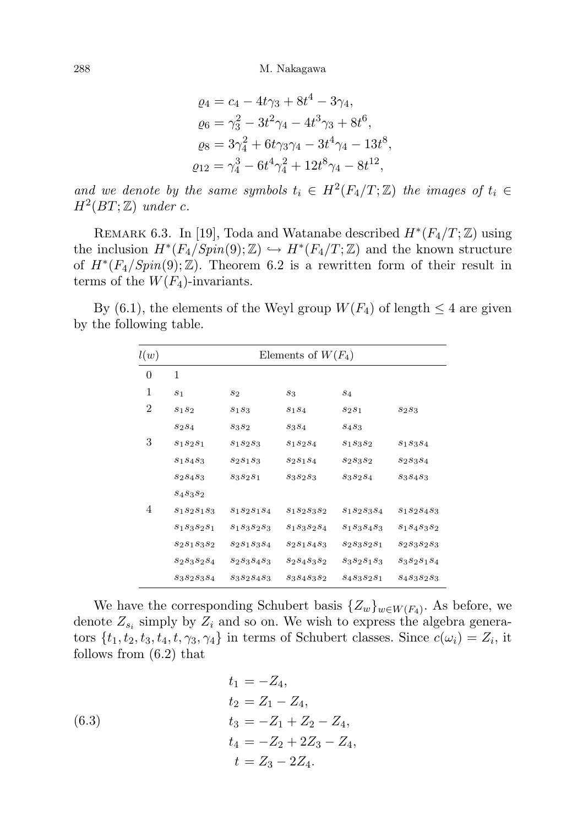$$
a_4 = c_4 - 4t\gamma_3 + 8t^4 - 3\gamma_4,
$$
  
\n
$$
a_6 = \gamma_3^2 - 3t^2\gamma_4 - 4t^3\gamma_3 + 8t^6,
$$
  
\n
$$
a_8 = 3\gamma_4^2 + 6t\gamma_3\gamma_4 - 3t^4\gamma_4 - 13t^8,
$$
  
\n
$$
a_{12} = \gamma_4^3 - 6t^4\gamma_4^2 + 12t^8\gamma_4 - 8t^{12},
$$

and we denote by the same symbols  $t_i \in H^2(F_4/T; \mathbb{Z})$  the images of  $t_i \in$  $H^2(BT;\mathbb{Z})$  under c.

REMARK 6.3. In [19], Toda and Watanabe described  $H^*(F_4/T; \mathbb{Z})$  using the inclusion  $H^*(F_4/Spin(9);\mathbb{Z}) \hookrightarrow H^*(F_4/T;\mathbb{Z})$  and the known structure of  $H^*(F_4/Spin(9); \mathbb{Z})$ . Theorem 6.2 is a rewritten form of their result in terms of the  $W(F_4)$ -invariants.

By (6.1), the elements of the Weyl group  $W(F_4)$  of length  $\leq 4$  are given by the following table.

| l(w) | Elements of $W(F_4)$ |                |                |                |                |  |  |  |  |  |
|------|----------------------|----------------|----------------|----------------|----------------|--|--|--|--|--|
| 0    | 1                    |                |                |                |                |  |  |  |  |  |
| 1    | s <sub>1</sub>       | $s_2$          | $s_3$          | $s_4$          |                |  |  |  |  |  |
| 2    | $s_1s_2$             | $s_1s_3$       | $s_1s_4$       | $s_2s_1$       | $s_2s_3$       |  |  |  |  |  |
|      | $S_2S_4$             | $s_3s_2$       | $s_3s_4$       | $s_4s_3$       |                |  |  |  |  |  |
| 3    | $s_1s_2s_1$          | $s_1s_2s_3$    | $s_1s_2s_4$    | $s_1s_3s_2$    | $s_1s_3s_4$    |  |  |  |  |  |
|      | $S_1S_4S_3$          | $s_2s_1s_3$    | $S_2S_1S_4$    | $s_2s_3s_2$    | $S_2S_3S_4$    |  |  |  |  |  |
|      | $S_2S_4S_3$          | $s_3s_2s_1$    | S3S2S3         | $s_3s_2s_4$    | $s_3s_4s_3$    |  |  |  |  |  |
|      | $S_4S_3S_2$          |                |                |                |                |  |  |  |  |  |
| 4    | $s_1s_2s_1s_3$       | S1S2S1S4       | $s_1s_2s_3s_2$ | $s_1s_2s_3s_4$ | S1S2S4S3       |  |  |  |  |  |
|      | $s_1s_3s_2s_1$       | $s_1s_3s_2s_3$ | $s_1s_3s_2s_4$ | $s_1s_3s_4s_3$ | $s_1s_4s_3s_2$ |  |  |  |  |  |
|      | $S_2S_1S_3S_2$       | S2S1S3S4       | $S_2S_1S_4S_3$ | $s_2s_3s_2s_1$ | $S_2S_3S_2S_3$ |  |  |  |  |  |
|      | $s_2s_3s_2s_4$       | $s_2s_3s_4s_3$ | $s_2s_4s_3s_2$ | $s_3s_2s_1s_3$ | $s_3s_2s_1s_4$ |  |  |  |  |  |
|      | $S_3S_2S_3S_4$       | $S_3S_2S_4S_3$ | $S_3S_4S_3S_2$ | $s_4s_3s_2s_1$ | $s_4s_3s_2s_3$ |  |  |  |  |  |

We have the corresponding Schubert basis  $\{Z_w\}_{w\in W(F_4)}$ . As before, we denote  $Z_{s_i}$  simply by  $Z_i$  and so on. We wish to express the algebra generators  $\{t_1, t_2, t_3, t_4, t, \gamma_3, \gamma_4\}$  in terms of Schubert classes. Since  $c(\omega_i) = Z_i$ , it follows from (6.2) that

(6.3)  
\n
$$
t_1 = -Z_4,
$$
\n
$$
t_2 = Z_1 - Z_4,
$$
\n
$$
t_3 = -Z_1 + Z_2 - Z_4,
$$
\n
$$
t_4 = -Z_2 + 2Z_3 - Z_4,
$$
\n
$$
t = Z_3 - 2Z_4.
$$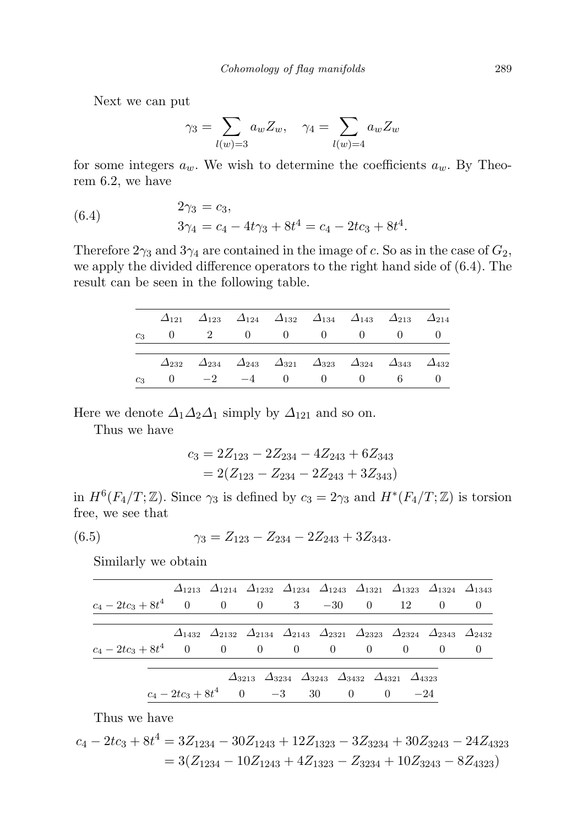Next we can put

$$
\gamma_3 = \sum_{l(w)=3} a_w Z_w, \quad \gamma_4 = \sum_{l(w)=4} a_w Z_w
$$

for some integers  $a_w$ . We wish to determine the coefficients  $a_w$ . By Theorem 6.2, we have

(6.4) 
$$
2\gamma_3 = c_3, 3\gamma_4 = c_4 - 4t\gamma_3 + 8t^4 = c_4 - 2tc_3 + 8t
$$

Therefore  $2\gamma_3$  and  $3\gamma_4$  are contained in the image of c. So as in the case of  $G_2$ , we apply the divided difference operators to the right hand side of (6.4). The result can be seen in the following table.

4 .

|                |              |      |  | $\Delta_{121}$ $\Delta_{123}$ $\Delta_{124}$ $\Delta_{132}$ $\Delta_{134}$ $\Delta_{143}$ $\Delta_{213}$ $\Delta_{214}$ |  |  |
|----------------|--------------|------|--|-------------------------------------------------------------------------------------------------------------------------|--|--|
| $c_3$          |              |      |  | $0 \qquad 2 \qquad 0 \qquad 0 \qquad 0 \qquad 0 \qquad 0$                                                               |  |  |
|                |              |      |  | $\Delta_{232}$ $\Delta_{234}$ $\Delta_{243}$ $\Delta_{321}$ $\Delta_{323}$ $\Delta_{324}$ $\Delta_{343}$ $\Delta_{432}$ |  |  |
| c <sub>3</sub> | $\mathbf{0}$ | $-2$ |  | $-4$ 0 0 0 6                                                                                                            |  |  |

Here we denote  $\Delta_1\Delta_2\Delta_1$  simply by  $\Delta_{121}$  and so on.

Thus we have

$$
c_3 = 2Z_{123} - 2Z_{234} - 4Z_{243} + 6Z_{343}
$$
  
= 2(Z<sub>123</sub> - Z<sub>234</sub> - 2Z<sub>243</sub> + 3Z<sub>343</sub>)

in  $H^6(F_4/T; \mathbb{Z})$ . Since  $\gamma_3$  is defined by  $c_3 = 2\gamma_3$  and  $H^*(F_4/T; \mathbb{Z})$  is torsion free, we see that

(6.5) 
$$
\gamma_3 = Z_{123} - Z_{234} - 2Z_{243} + 3Z_{343}.
$$

Similarly we obtain

|                                           |                                      | $\Delta_{1213}$ $\Delta_{1214}$ $\Delta_{1232}$ $\Delta_{1234}$ $\Delta_{1243}$ $\Delta_{1321}$ $\Delta_{1323}$ $\Delta_{1324}$ $\Delta_{1343}$ |  |  |                                                                                                 |  |
|-------------------------------------------|--------------------------------------|-------------------------------------------------------------------------------------------------------------------------------------------------|--|--|-------------------------------------------------------------------------------------------------|--|
| $c_4 - 2tc_3 + 8t^4$ 0 0 0 3 -30 0 12 0 0 |                                      |                                                                                                                                                 |  |  |                                                                                                 |  |
|                                           |                                      |                                                                                                                                                 |  |  |                                                                                                 |  |
|                                           |                                      | $\Delta_{1432}$ $\Delta_{2132}$ $\Delta_{2134}$ $\Delta_{2143}$ $\Delta_{2321}$ $\Delta_{2323}$ $\Delta_{2324}$ $\Delta_{2343}$ $\Delta_{2432}$ |  |  |                                                                                                 |  |
| $c_4 - 2tc_3 + 8t^4$ 0 0 0 0 0 0 0 0 0    |                                      |                                                                                                                                                 |  |  |                                                                                                 |  |
|                                           |                                      |                                                                                                                                                 |  |  | $\Delta_{3213}$ $\Delta_{3234}$ $\Delta_{3243}$ $\Delta_{3432}$ $\Delta_{4321}$ $\Delta_{4323}$ |  |
|                                           |                                      |                                                                                                                                                 |  |  |                                                                                                 |  |
|                                           | $c_4 - 2tc_3 + 8t^4$ 0 -3 30 0 0 -24 |                                                                                                                                                 |  |  |                                                                                                 |  |

Thus we have

$$
c_4 - 2tc_3 + 8t^4 = 3Z_{1234} - 30Z_{1243} + 12Z_{1323} - 3Z_{3234} + 30Z_{3243} - 24Z_{4323}
$$
  
= 3(Z<sub>1234</sub> - 10Z<sub>1243</sub> + 4Z<sub>1323</sub> - Z<sub>3234</sub> + 10Z<sub>3243</sub> - 8Z<sub>4323</sub>)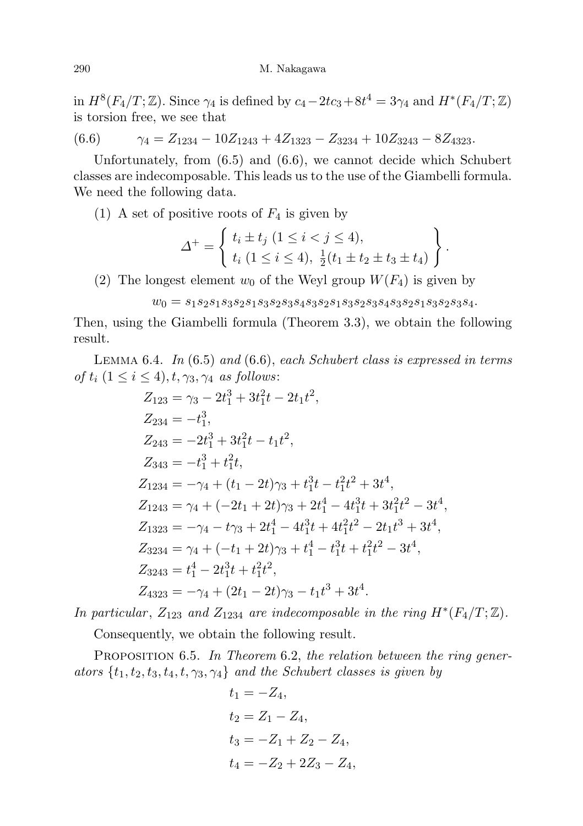in  $H^8(F_4/T; \mathbb{Z})$ . Since  $\gamma_4$  is defined by  $c_4 - 2tc_3 + 8t^4 = 3\gamma_4$  and  $H^*(F_4/T; \mathbb{Z})$ is torsion free, we see that

$$
(6.6) \qquad \gamma_4 = Z_{1234} - 10Z_{1243} + 4Z_{1323} - Z_{3234} + 10Z_{3243} - 8Z_{4323}.
$$

Unfortunately, from (6.5) and (6.6), we cannot decide which Schubert classes are indecomposable. This leads us to the use of the Giambelli formula. We need the following data.

(1) A set of positive roots of  $F_4$  is given by

$$
\Delta^{+} = \left\{ \begin{array}{l} t_{i} \pm t_{j} \ (1 \leq i < j \leq 4), \\ t_{i} \ (1 \leq i \leq 4), \ \frac{1}{2}(t_{1} \pm t_{2} \pm t_{3} \pm t_{4}) \end{array} \right\}.
$$

(2) The longest element  $w_0$  of the Weyl group  $W(F_4)$  is given by

 $w_0 = s_1 s_2 s_1 s_3 s_2 s_1 s_3 s_2 s_3 s_4 s_3 s_2 s_1 s_3 s_2 s_3 s_4 s_3 s_2 s_1 s_3 s_2 s_3 s_4.$ 

Then, using the Giambelli formula (Theorem 3.3), we obtain the following result.

LEMMA 6.4. In  $(6.5)$  and  $(6.6)$ , each Schubert class is expressed in terms of  $t_i$   $(1 \leq i \leq 4), t, \gamma_3, \gamma_4$  as follows:

$$
Z_{123} = \gamma_3 - 2t_1^3 + 3t_1^2t - 2t_1t^2,
$$
  
\n
$$
Z_{234} = -t_1^3,
$$
  
\n
$$
Z_{243} = -2t_1^3 + 3t_1^2t - t_1t^2,
$$
  
\n
$$
Z_{343} = -t_1^3 + t_1^2t,
$$
  
\n
$$
Z_{1234} = -\gamma_4 + (t_1 - 2t)\gamma_3 + t_1^3t - t_1^2t^2 + 3t^4,
$$
  
\n
$$
Z_{1243} = \gamma_4 + (-2t_1 + 2t)\gamma_3 + 2t_1^4 - 4t_1^3t + 3t_1^2t^2 - 3t^4,
$$
  
\n
$$
Z_{1323} = -\gamma_4 - t\gamma_3 + 2t_1^4 - 4t_1^3t + 4t_1^2t^2 - 2t_1t^3 + 3t^4,
$$
  
\n
$$
Z_{3234} = \gamma_4 + (-t_1 + 2t)\gamma_3 + t_1^4 - t_1^3t + t_1^2t^2 - 3t^4,
$$
  
\n
$$
Z_{3243} = t_1^4 - 2t_1^3t + t_1^2t^2,
$$
  
\n
$$
Z_{4323} = -\gamma_4 + (2t_1 - 2t)\gamma_3 - t_1t^3 + 3t^4.
$$

In particular,  $Z_{123}$  and  $Z_{1234}$  are indecomposable in the ring  $H^*(F_4/T; \mathbb{Z})$ .

Consequently, we obtain the following result.

PROPOSITION 6.5. In Theorem 6.2, the relation between the ring generators  $\{t_1, t_2, t_3, t_4, t, \gamma_3, \gamma_4\}$  and the Schubert classes is given by

$$
t_1 = -Z_4,
$$
  
\n
$$
t_2 = Z_1 - Z_4,
$$
  
\n
$$
t_3 = -Z_1 + Z_2 - Z_4,
$$
  
\n
$$
t_4 = -Z_2 + 2Z_3 - Z_4,
$$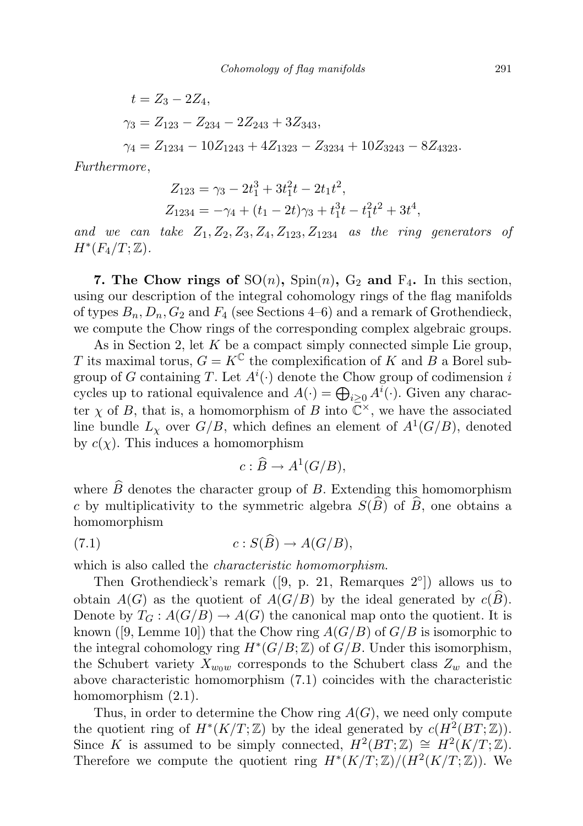$$
t = Z_3 - 2Z_4,
$$
  
\n
$$
\gamma_3 = Z_{123} - Z_{234} - 2Z_{243} + 3Z_{343},
$$
  
\n
$$
\gamma_4 = Z_{1234} - 10Z_{1243} + 4Z_{1323} - Z_{3234} + 10Z_{3243} - 8Z_{4323}.
$$

Furthermore,

$$
Z_{123} = \gamma_3 - 2t_1^3 + 3t_1^2t - 2t_1t^2,
$$
  
\n
$$
Z_{1234} = -\gamma_4 + (t_1 - 2t)\gamma_3 + t_1^3t - t_1^2t^2 + 3t^4,
$$

and we can take  $Z_1, Z_2, Z_3, Z_4, Z_{123}, Z_{1234}$  as the ring generators of  $H^*(F_4/T; \mathbb{Z}).$ 

7. The Chow rings of  $SO(n)$ ,  $Spin(n)$ ,  $G_2$  and  $F_4$ . In this section, using our description of the integral cohomology rings of the flag manifolds of types  $B_n, D_n, G_2$  and  $F_4$  (see Sections 4–6) and a remark of Grothendieck, we compute the Chow rings of the corresponding complex algebraic groups.

As in Section 2, let K be a compact simply connected simple Lie group, T its maximal torus,  $G = K^{\mathbb{C}}$  the complexification of K and B a Borel subgroup of G containing T. Let  $A^i(\cdot)$  denote the Chow group of codimension i cycles up to rational equivalence and  $A(\cdot) = \bigoplus_{i \geq 0} A^i(\cdot)$ . Given any character  $\chi$  of B, that is, a homomorphism of B into  $\overline{\mathbb{C}}^{\times}$ , we have the associated line bundle  $L_{\chi}$  over  $G/B$ , which defines an element of  $A^1(G/B)$ , denoted by  $c(\chi)$ . This induces a homomorphism

$$
c: \widehat{B} \to A^1(G/B),
$$

where  $\widehat{B}$  denotes the character group of B. Extending this homomorphism c by multiplicativity to the symmetric algebra  $S(\widehat{B})$  of  $\widehat{B}$ , one obtains a homomorphism

(7.1) 
$$
c: S(\widehat{B}) \to A(G/B),
$$

which is also called the *characteristic homomorphism*.

Then Grothendieck's remark  $([9, p. 21,$  Remarques  $2^{\circ}]$  allows us to obtain  $A(G)$  as the quotient of  $A(G/B)$  by the ideal generated by  $c(\widehat{B})$ . Denote by  $T_G$ :  $A(G/B) \to A(G)$  the canonical map onto the quotient. It is known ([9, Lemme 10]) that the Chow ring  $A(G/B)$  of  $G/B$  is isomorphic to the integral cohomology ring  $H^*(G/B;\mathbb{Z})$  of  $G/B$ . Under this isomorphism, the Schubert variety  $X_{w_0w}$  corresponds to the Schubert class  $Z_w$  and the above characteristic homomorphism (7.1) coincides with the characteristic homomorphism  $(2.1)$ .

Thus, in order to determine the Chow ring  $A(G)$ , we need only compute the quotient ring of  $H^*(K/T;\mathbb{Z})$  by the ideal generated by  $c(H^2(BT;\mathbb{Z}))$ . Since K is assumed to be simply connected,  $H^2(BT;\mathbb{Z}) \cong H^2(K/T;\mathbb{Z})$ . Therefore we compute the quotient ring  $H^*(K/T;\mathbb{Z})/(H^2(K/T;\mathbb{Z}))$ . We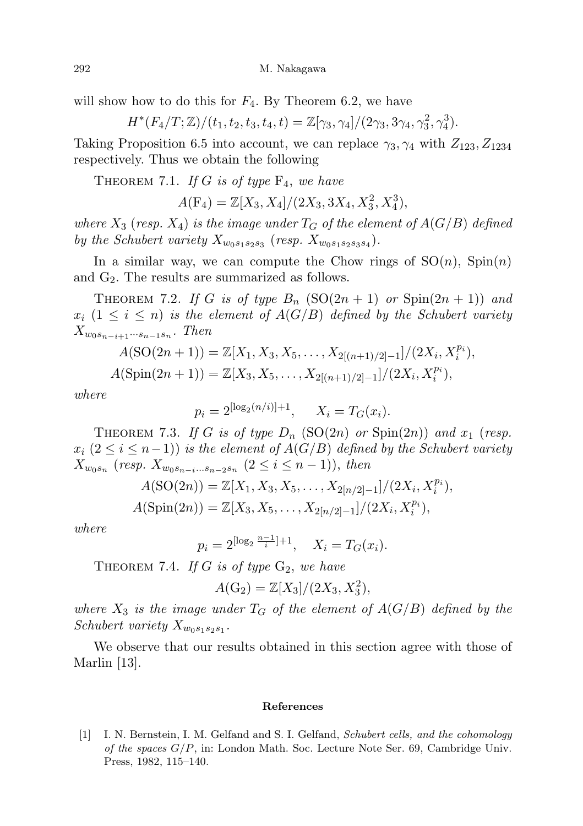292 M. Nakagawa

will show how to do this for  $F_4$ . By Theorem 6.2, we have

$$
H^*(F_4/T; \mathbb{Z})/(t_1, t_2, t_3, t_4, t) = \mathbb{Z}[\gamma_3, \gamma_4]/(2\gamma_3, 3\gamma_4, \gamma_3^2, \gamma_4^3).
$$

Taking Proposition 6.5 into account, we can replace  $\gamma_3, \gamma_4$  with  $Z_{123}, Z_{1234}$ respectively. Thus we obtain the following

THEOREM 7.1. If G is of type  $F_4$ , we have

 $A(\mathbf{F}_4) = \mathbb{Z}[X_3, X_4]/(2X_3, 3X_4, X_3^2, X_4^3),$ 

where  $X_3$  (resp.  $X_4$ ) is the image under  $T_G$  of the element of  $A(G/B)$  defined by the Schubert variety  $X_{w_0s_1s_2s_3}$  (resp.  $X_{w_0s_1s_2s_3s_4}$ ).

In a similar way, we can compute the Chow rings of  $SO(n)$ ,  $Spin(n)$ and G2. The results are summarized as follows.

THEOREM 7.2. If G is of type  $B_n$   $(SO(2n + 1)$  or  $Spin(2n + 1))$  and  $x_i$   $(1 \leq i \leq n)$  is the element of  $A(G/B)$  defined by the Schubert variety  $X_{w_0 s_{n-i+1} \cdots s_{n-1} s_n}$ . Then

$$
A(\text{SO}(2n+1)) = \mathbb{Z}[X_1, X_3, X_5, \dots, X_{2[(n+1)/2]-1}]/(2X_i, X_i^{p_i}),
$$
  

$$
A(\text{Spin}(2n+1)) = \mathbb{Z}[X_3, X_5, \dots, X_{2[(n+1)/2]-1}]/(2X_i, X_i^{p_i}),
$$

where

$$
p_i = 2^{\lfloor \log_2(n/i) \rfloor + 1}, \quad X_i = T_G(x_i).
$$

THEOREM 7.3. If G is of type  $D_n$  (SO(2n) or Spin(2n)) and  $x_1$  (resp.  $x_i$   $(2 \leq i \leq n-1)$  is the element of  $A(G/B)$  defined by the Schubert variety  $X_{w_0 s_n}$  (resp.  $X_{w_0 s_{n-i} \dots s_{n-2} s_n}$   $(2 \le i \le n-1)$ ), then

$$
A(SO(2n)) = \mathbb{Z}[X_1, X_3, X_5, \dots, X_{2[n/2]-1}]/(2X_i, X_i^{p_i}),
$$
  

$$
A(Spin(2n)) = \mathbb{Z}[X_3, X_5, \dots, X_{2[n/2]-1}]/(2X_i, X_i^{p_i}),
$$

where

$$
p_i = 2^{\lfloor \log_2 \frac{n-1}{i} \rfloor + 1}, \quad X_i = T_G(x_i).
$$

THEOREM 7.4. If  $G$  is of type  $G_2$ , we have

$$
A(\mathcal{G}_2) = \mathbb{Z}[X_3]/(2X_3, X_3^2),
$$

where  $X_3$  is the image under  $T_G$  of the element of  $A(G/B)$  defined by the Schubert variety  $X_{w_0s_1s_2s_1}$ .

We observe that our results obtained in this section agree with those of Marlin [13].

## References

[1] I. N. Bernstein, I. M. Gelfand and S. I. Gelfand, Schubert cells, and the cohomology of the spaces  $G/P$ , in: London Math. Soc. Lecture Note Ser. 69, Cambridge Univ. Press, 1982, 115–140.